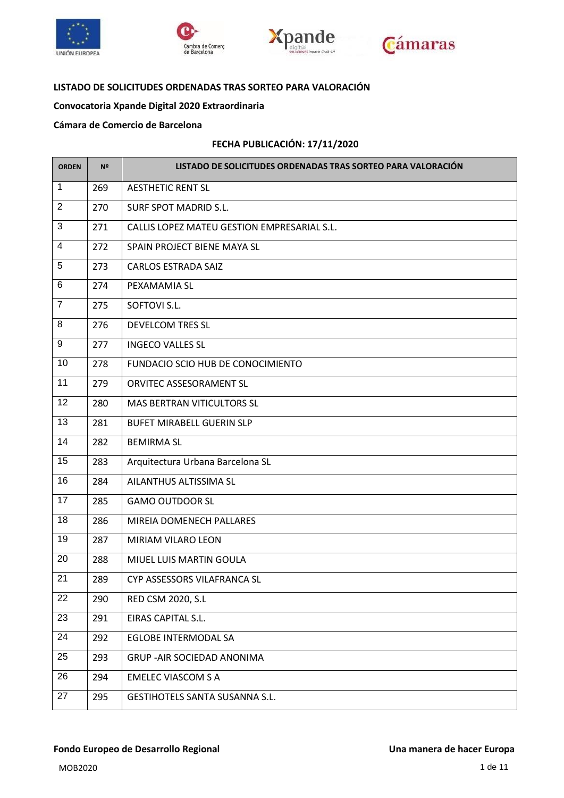







### **LISTADO DE SOLICITUDES ORDENADAS TRAS SORTEO PARA VALORACIÓN**

# **Convocatoria Xpande Digital 2020 Extraordinaria**

#### **Cámara de Comercio de Barcelona**

#### **FECHA PUBLICACIÓN: 17/11/2020**

| <b>ORDEN</b>    | Nº  | LISTADO DE SOLICITUDES ORDENADAS TRAS SORTEO PARA VALORACIÓN |
|-----------------|-----|--------------------------------------------------------------|
| $\mathbf{1}$    | 269 | <b>AESTHETIC RENT SL</b>                                     |
| $\overline{2}$  | 270 | SURF SPOT MADRID S.L.                                        |
| $\overline{3}$  | 271 | CALLIS LOPEZ MATEU GESTION EMPRESARIAL S.L.                  |
| 4               | 272 | SPAIN PROJECT BIENE MAYA SL                                  |
| 5               | 273 | <b>CARLOS ESTRADA SAIZ</b>                                   |
| 6               | 274 | PEXAMAMIA SL                                                 |
| $\overline{7}$  | 275 | SOFTOVI S.L.                                                 |
| 8               | 276 | <b>DEVELCOM TRES SL</b>                                      |
| 9               | 277 | <b>INGECO VALLES SL</b>                                      |
| 10              | 278 | FUNDACIO SCIO HUB DE CONOCIMIENTO                            |
| 11              | 279 | ORVITEC ASSESORAMENT SL                                      |
| 12              | 280 | <b>MAS BERTRAN VITICULTORS SL</b>                            |
| 13              | 281 | <b>BUFET MIRABELL GUERIN SLP</b>                             |
| 14              | 282 | <b>BEMIRMA SL</b>                                            |
| 15              | 283 | Arquitectura Urbana Barcelona SL                             |
| 16              | 284 | AILANTHUS ALTISSIMA SL                                       |
| 17              | 285 | <b>GAMO OUTDOOR SL</b>                                       |
| 18              | 286 | MIREIA DOMENECH PALLARES                                     |
| 19              | 287 | <b>MIRIAM VILARO LEON</b>                                    |
| 20              | 288 | MIUEL LUIS MARTIN GOULA                                      |
| $\overline{21}$ | 289 | CYP ASSESSORS VILAFRANCA SL                                  |
| 22              | 290 | RED CSM 2020, S.L                                            |
| 23              | 291 | EIRAS CAPITAL S.L.                                           |
| 24              | 292 | <b>EGLOBE INTERMODAL SA</b>                                  |
| 25              | 293 | <b>GRUP - AIR SOCIEDAD ANONIMA</b>                           |
| 26              | 294 | <b>EMELEC VIASCOM S A</b>                                    |
| 27              | 295 | <b>GESTIHOTELS SANTA SUSANNA S.L.</b>                        |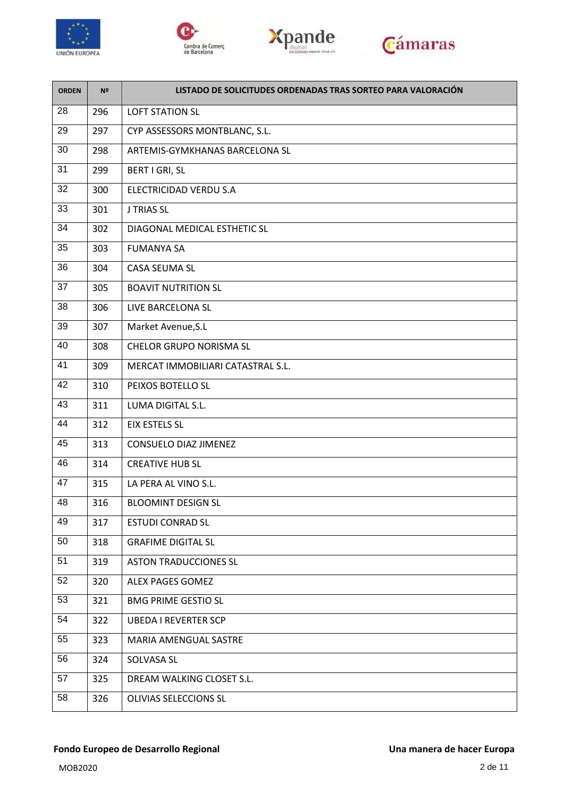







| <b>ORDEN</b>    | Nº  | LISTADO DE SOLICITUDES ORDENADAS TRAS SORTEO PARA VALORACIÓN |
|-----------------|-----|--------------------------------------------------------------|
| 28              | 296 | <b>LOFT STATION SL</b>                                       |
| 29              | 297 | CYP ASSESSORS MONTBLANC, S.L.                                |
| 30              | 298 | ARTEMIS-GYMKHANAS BARCELONA SL                               |
| $\overline{31}$ | 299 | BERT I GRI, SL                                               |
| 32              | 300 | ELECTRICIDAD VERDU S.A                                       |
| 33              | 301 | <b>J TRIAS SL</b>                                            |
| 34              | 302 | DIAGONAL MEDICAL ESTHETIC SL                                 |
| 35              | 303 | <b>FUMANYA SA</b>                                            |
| 36              | 304 | CASA SEUMA SL                                                |
| 37              | 305 | <b>BOAVIT NUTRITION SL</b>                                   |
| 38              | 306 | LIVE BARCELONA SL                                            |
| 39              | 307 | Market Avenue, S.L                                           |
| 40              | 308 | <b>CHELOR GRUPO NORISMA SL</b>                               |
| 41              | 309 | MERCAT IMMOBILIARI CATASTRAL S.L.                            |
| 42              | 310 | PEIXOS BOTELLO SL                                            |
| 43              | 311 | LUMA DIGITAL S.L.                                            |
| 44              | 312 | <b>EIX ESTELS SL</b>                                         |
| 45              | 313 | CONSUELO DIAZ JIMENEZ                                        |
| 46              | 314 | <b>CREATIVE HUB SL</b>                                       |
| 47              | 315 | LA PERA AL VINO S.L.                                         |
| 48              | 316 | <b>BLOOMINT DESIGN SL</b>                                    |
| 49              | 317 | <b>ESTUDI CONRAD SL</b>                                      |
| 50              | 318 | <b>GRAFIME DIGITAL SL</b>                                    |
| 51              | 319 | <b>ASTON TRADUCCIONES SL</b>                                 |
| 52              | 320 | ALEX PAGES GOMEZ                                             |
| 53              | 321 | <b>BMG PRIME GESTIO SL</b>                                   |
| 54              | 322 | <b>UBEDA I REVERTER SCP</b>                                  |
| 55              | 323 | MARIA AMENGUAL SASTRE                                        |
| 56              | 324 | SOLVASA SL                                                   |
| 57              | 325 | DREAM WALKING CLOSET S.L.                                    |
| 58              | 326 | OLIVIAS SELECCIONS SL                                        |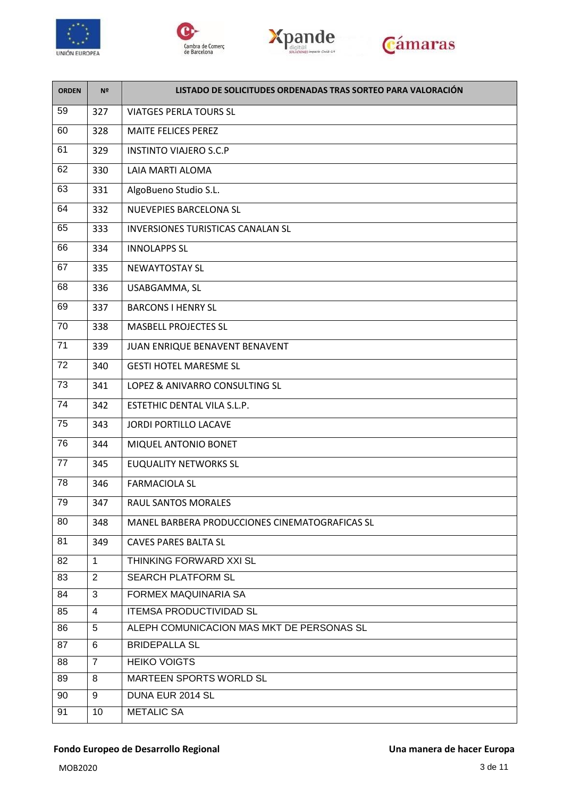







| <b>ORDEN</b> | Nº             | LISTADO DE SOLICITUDES ORDENADAS TRAS SORTEO PARA VALORACIÓN |
|--------------|----------------|--------------------------------------------------------------|
| 59           | 327            | <b>VIATGES PERLA TOURS SL</b>                                |
| 60           | 328            | <b>MAITE FELICES PEREZ</b>                                   |
| 61           | 329            | <b>INSTINTO VIAJERO S.C.P</b>                                |
| 62           | 330            | LAIA MARTI ALOMA                                             |
| 63           | 331            | AlgoBueno Studio S.L.                                        |
| 64           | 332            | NUEVEPIES BARCELONA SL                                       |
| 65           | 333            | <b>INVERSIONES TURISTICAS CANALAN SL</b>                     |
| 66           | 334            | <b>INNOLAPPS SL</b>                                          |
| 67           | 335            | <b>NEWAYTOSTAY SL</b>                                        |
| 68           | 336            | USABGAMMA, SL                                                |
| 69           | 337            | <b>BARCONS I HENRY SL</b>                                    |
| 70           | 338            | <b>MASBELL PROJECTES SL</b>                                  |
| 71           | 339            | JUAN ENRIQUE BENAVENT BENAVENT                               |
| 72           | 340            | <b>GESTI HOTEL MARESME SL</b>                                |
| 73           | 341            | LOPEZ & ANIVARRO CONSULTING SL                               |
| 74           | 342            | ESTETHIC DENTAL VILA S.L.P.                                  |
| 75           | 343            | JORDI PORTILLO LACAVE                                        |
| 76           | 344            | MIQUEL ANTONIO BONET                                         |
| 77           | 345            | <b>EUQUALITY NETWORKS SL</b>                                 |
| 78           | 346            | <b>FARMACIOLA SL</b>                                         |
| 79           | 347            | RAUL SANTOS MORALES                                          |
| 80           | 348            | MANEL BARBERA PRODUCCIONES CINEMATOGRAFICAS SL               |
| 81           | 349            | <b>CAVES PARES BALTA SL</b>                                  |
| 82           | $\mathbf{1}$   | THINKING FORWARD XXI SL                                      |
| 83           | $\overline{2}$ | <b>SEARCH PLATFORM SL</b>                                    |
| 84           | 3              | FORMEX MAQUINARIA SA                                         |
| 85           | $\overline{4}$ | <b>ITEMSA PRODUCTIVIDAD SL</b>                               |
| 86           | 5              | ALEPH COMUNICACION MAS MKT DE PERSONAS SL                    |
| 87           | 6              | <b>BRIDEPALLA SL</b>                                         |
| 88           | $\overline{7}$ | <b>HEIKO VOIGTS</b>                                          |
| 89           | 8              | MARTEEN SPORTS WORLD SL                                      |
| 90           | 9              | DUNA EUR 2014 SL                                             |
| 91           | 10             | <b>METALIC SA</b>                                            |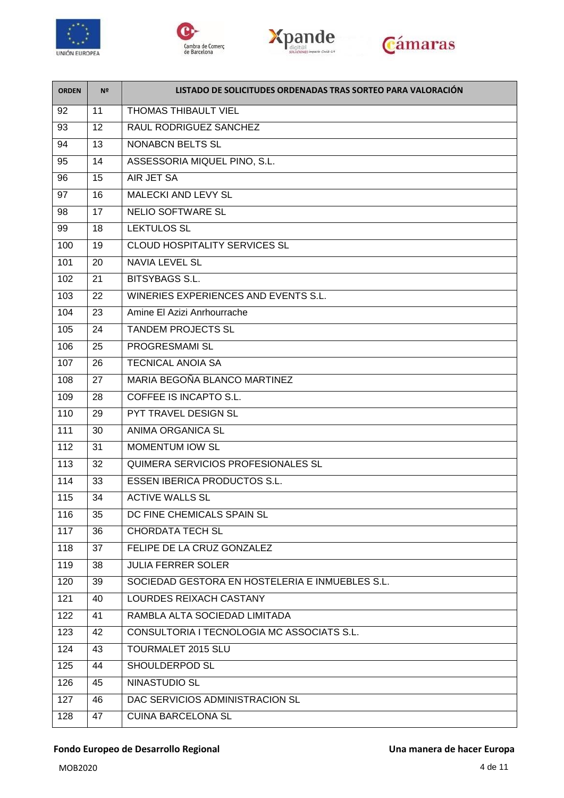







| <b>ORDEN</b> | Nº | LISTADO DE SOLICITUDES ORDENADAS TRAS SORTEO PARA VALORACIÓN |
|--------------|----|--------------------------------------------------------------|
| 92           | 11 | <b>THOMAS THIBAULT VIEL</b>                                  |
| 93           | 12 | RAUL RODRIGUEZ SANCHEZ                                       |
| 94           | 13 | <b>NONABCN BELTS SL</b>                                      |
| 95           | 14 | ASSESSORIA MIQUEL PINO, S.L.                                 |
| 96           | 15 | AIR JET SA                                                   |
| 97           | 16 | <b>MALECKI AND LEVY SL</b>                                   |
| 98           | 17 | <b>NELIO SOFTWARE SL</b>                                     |
| 99           | 18 | <b>LEKTULOS SL</b>                                           |
| 100          | 19 | <b>CLOUD HOSPITALITY SERVICES SL</b>                         |
| 101          | 20 | <b>NAVIA LEVEL SL</b>                                        |
| 102          | 21 | <b>BITSYBAGS S.L.</b>                                        |
| 103          | 22 | WINERIES EXPERIENCES AND EVENTS S.L.                         |
| 104          | 23 | Amine El Azizi Anrhourrache                                  |
| 105          | 24 | <b>TANDEM PROJECTS SL</b>                                    |
| 106          | 25 | <b>PROGRESMAMI SL</b>                                        |
| 107          | 26 | <b>TECNICAL ANOIA SA</b>                                     |
| 108          | 27 | MARIA BEGOÑA BLANCO MARTINEZ                                 |
| 109          | 28 | <b>COFFEE IS INCAPTO S.L.</b>                                |
| 110          | 29 | PYT TRAVEL DESIGN SL                                         |
| 111          | 30 | ANIMA ORGANICA SL                                            |
| 112          | 31 | <b>MOMENTUM IOW SL</b>                                       |
| 113          | 32 | QUIMERA SERVICIOS PROFESIONALES SL                           |
| 114          | 33 | <b>ESSEN IBERICA PRODUCTOS S.L.</b>                          |
| 115          | 34 | <b>ACTIVE WALLS SL</b>                                       |
| 116          | 35 | DC FINE CHEMICALS SPAIN SL                                   |
| 117          | 36 | <b>CHORDATA TECH SL</b>                                      |
| 118          | 37 | FELIPE DE LA CRUZ GONZALEZ                                   |
| 119          | 38 | <b>JULIA FERRER SOLER</b>                                    |
| 120          | 39 | SOCIEDAD GESTORA EN HOSTELERIA E INMUEBLES S.L.              |
| 121          | 40 | LOURDES REIXACH CASTANY                                      |
| 122          | 41 | RAMBLA ALTA SOCIEDAD LIMITADA                                |
| 123          | 42 | CONSULTORIA I TECNOLOGIA MC ASSOCIATS S.L.                   |
| 124          | 43 | <b>TOURMALET 2015 SLU</b>                                    |
| 125          | 44 | SHOULDERPOD SL                                               |
| 126          | 45 | NINASTUDIO SL                                                |
| 127          | 46 | DAC SERVICIOS ADMINISTRACION SL                              |
| 128          | 47 | <b>CUINA BARCELONA SL</b>                                    |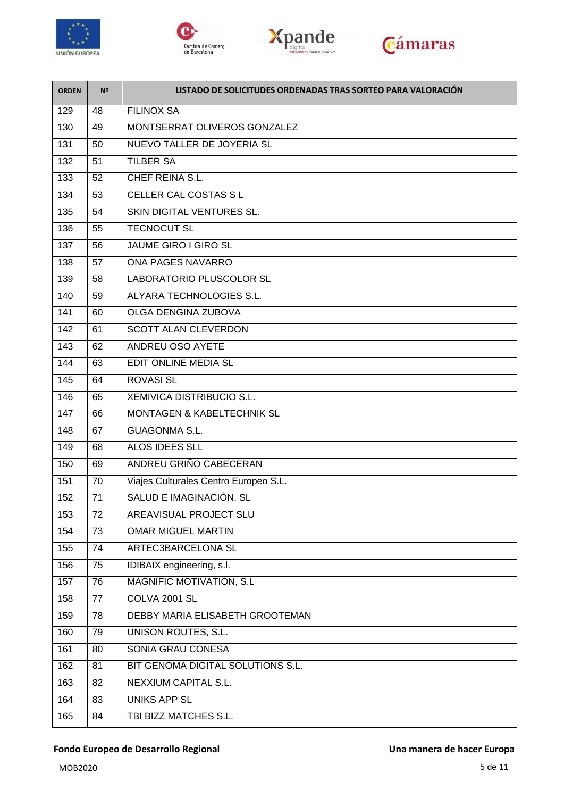







| <b>ORDEN</b> | Nº | LISTADO DE SOLICITUDES ORDENADAS TRAS SORTEO PARA VALORACIÓN |
|--------------|----|--------------------------------------------------------------|
| 129          | 48 | <b>FILINOX SA</b>                                            |
| 130          | 49 | MONTSERRAT OLIVEROS GONZALEZ                                 |
| 131          | 50 | NUEVO TALLER DE JOYERIA SL                                   |
| 132          | 51 | <b>TILBER SA</b>                                             |
| 133          | 52 | CHEF REINA S.L.                                              |
| 134          | 53 | CELLER CAL COSTAS S L                                        |
| 135          | 54 | SKIN DIGITAL VENTURES SL.                                    |
| 136          | 55 | <b>TECNOCUT SL</b>                                           |
| 137          | 56 | JAUME GIRO I GIRO SL                                         |
| 138          | 57 | <b>ONA PAGES NAVARRO</b>                                     |
| 139          | 58 | <b>LABORATORIO PLUSCOLOR SL</b>                              |
| 140          | 59 | ALYARA TECHNOLOGIES S.L.                                     |
| 141          | 60 | <b>OLGA DENGINA ZUBOVA</b>                                   |
| 142          | 61 | <b>SCOTT ALAN CLEVERDON</b>                                  |
| 143          | 62 | ANDREU OSO AYETE                                             |
| 144          | 63 | EDIT ONLINE MEDIA SL                                         |
| 145          | 64 | <b>ROVASI SL</b>                                             |
| 146          | 65 | <b>XEMIVICA DISTRIBUCIO S.L.</b>                             |
| 147          | 66 | <b>MONTAGEN &amp; KABELTECHNIK SL</b>                        |
| 148          | 67 | <b>GUAGONMA S.L.</b>                                         |
| 149          | 68 | ALOS IDEES SLL                                               |
| 150          | 69 | ANDREU GRIÑO CABECERAN                                       |
| 151          | 70 | Viajes Culturales Centro Europeo S.L.                        |
| 152          | 71 | SALUD E IMAGINACIÓN, SL                                      |
| 153          | 72 | <b>AREAVISUAL PROJECT SLU</b>                                |
| 154          | 73 | <b>OMAR MIGUEL MARTIN</b>                                    |
| 155          | 74 | ARTEC3BARCELONA SL                                           |
| 156          | 75 | IDIBAIX engineering, s.l.                                    |
| 157          | 76 | MAGNIFIC MOTIVATION, S.L.                                    |
| 158          | 77 | COLVA 2001 SL                                                |
| 159          | 78 | DEBBY MARIA ELISABETH GROOTEMAN                              |
| 160          | 79 | <b>UNISON ROUTES, S.L.</b>                                   |
| 161          | 80 | SONIA GRAU CONESA                                            |
| 162          | 81 | BIT GENOMA DIGITAL SOLUTIONS S.L.                            |
| 163          | 82 | <b>NEXXIUM CAPITAL S.L.</b>                                  |
| 164          | 83 | <b>UNIKS APP SL</b>                                          |
| 165          | 84 | TBI BIZZ MATCHES S.L.                                        |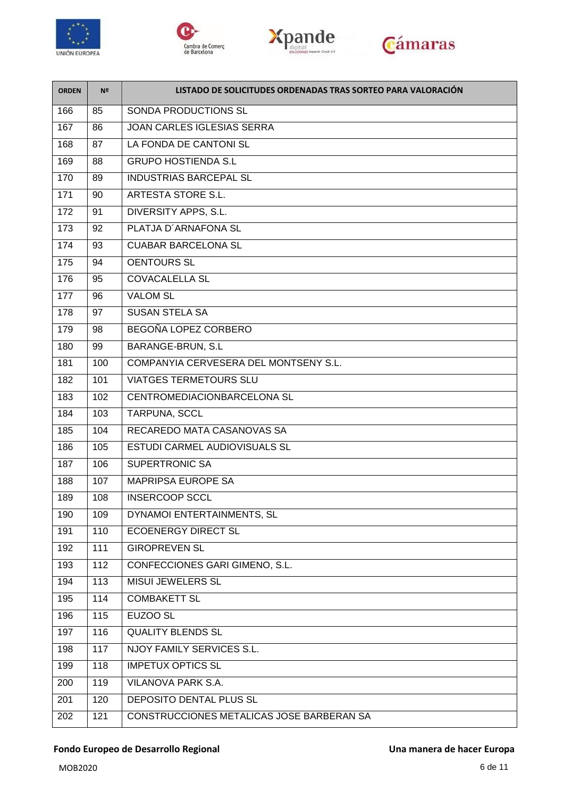

 $\overline{a}$ 







| <b>ORDEN</b> | Nº  | LISTADO DE SOLICITUDES ORDENADAS TRAS SORTEO PARA VALORACIÓN |
|--------------|-----|--------------------------------------------------------------|
| 166          | 85  | SONDA PRODUCTIONS SL                                         |
| 167          | 86  | <b>JOAN CARLES IGLESIAS SERRA</b>                            |
| 168          | 87  | LA FONDA DE CANTONI SL                                       |
| 169          | 88  | <b>GRUPO HOSTIENDA S.L</b>                                   |
| 170          | 89  | <b>INDUSTRIAS BARCEPAL SL</b>                                |
| 171          | 90  | ARTESTA STORE S.L.                                           |
| 172          | 91  | DIVERSITY APPS, S.L.                                         |
| 173          | 92  | PLATJA D'ARNAFONA SL                                         |
| 174          | 93  | <b>CUABAR BARCELONA SL</b>                                   |
| 175          | 94  | <b>OENTOURS SL</b>                                           |
| 176          | 95  | <b>COVACALELLA SL</b>                                        |
| 177          | 96  | <b>VALOM SL</b>                                              |
| 178          | 97  | <b>SUSAN STELA SA</b>                                        |
| 179          | 98  | BEGOÑA LOPEZ CORBERO                                         |
| 180          | 99  | BARANGE-BRUN, S.L                                            |
| 181          | 100 | COMPANYIA CERVESERA DEL MONTSENY S.L.                        |
| 182          | 101 | <b>VIATGES TERMETOURS SLU</b>                                |
| 183          | 102 | CENTROMEDIACIONBARCELONA SL                                  |
| 184          | 103 | TARPUNA, SCCL                                                |
| 185          | 104 | RECAREDO MATA CASANOVAS SA                                   |
| 186          | 105 | ESTUDI CARMEL AUDIOVISUALS SL                                |
| 187          | 106 | <b>SUPERTRONIC SA</b>                                        |
| 188          | 107 | MAPRIPSA EUROPE SA                                           |
| 189          | 108 | <b>INSERCOOP SCCL</b>                                        |
| 190          | 109 | DYNAMOI ENTERTAINMENTS, SL                                   |
| 191          | 110 | <b>ECOENERGY DIRECT SL</b>                                   |
| 192          | 111 | <b>GIROPREVEN SL</b>                                         |
| 193          | 112 | CONFECCIONES GARI GIMENO, S.L.                               |
| 194          | 113 | <b>MISUI JEWELERS SL</b>                                     |
| 195          | 114 | <b>COMBAKETT SL</b>                                          |
| 196          | 115 | EUZOO SL                                                     |
| 197          | 116 | <b>QUALITY BLENDS SL</b>                                     |
| 198          | 117 | <b>NJOY FAMILY SERVICES S.L.</b>                             |
| 199          | 118 | <b>IMPETUX OPTICS SL</b>                                     |
| 200          | 119 | <b>VILANOVA PARK S.A.</b>                                    |
| 201          | 120 | DEPOSITO DENTAL PLUS SL                                      |
| 202          | 121 | CONSTRUCCIONES METALICAS JOSE BARBERAN SA                    |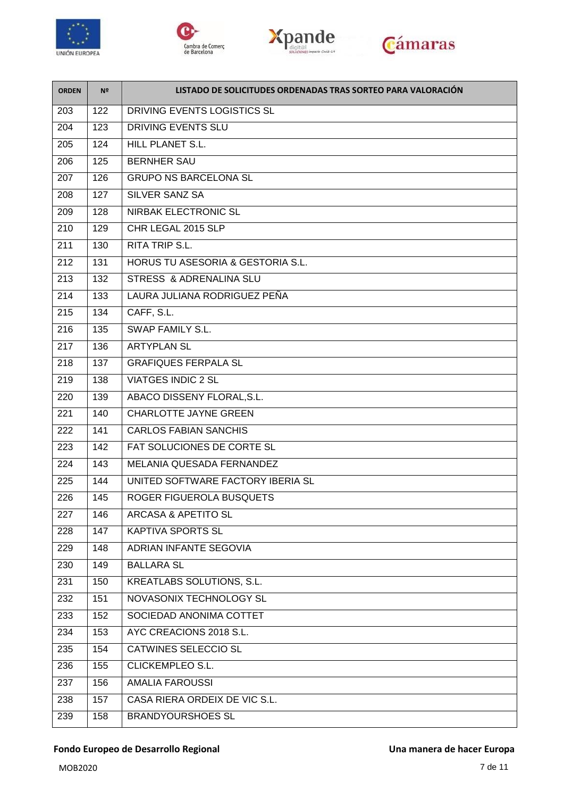

 $\overline{a}$ 







| <b>ORDEN</b> | Nº  | LISTADO DE SOLICITUDES ORDENADAS TRAS SORTEO PARA VALORACIÓN |
|--------------|-----|--------------------------------------------------------------|
| 203          | 122 | DRIVING EVENTS LOGISTICS SL                                  |
| 204          | 123 | DRIVING EVENTS SLU                                           |
| 205          | 124 | HILL PLANET S.L.                                             |
| 206          | 125 | <b>BERNHER SAU</b>                                           |
| 207          | 126 | <b>GRUPO NS BARCELONA SL</b>                                 |
| 208          | 127 | SILVER SANZ SA                                               |
| 209          | 128 | <b>NIRBAK ELECTRONIC SL</b>                                  |
| 210          | 129 | CHR LEGAL 2015 SLP                                           |
| 211          | 130 | <b>RITA TRIP S.L.</b>                                        |
| 212          | 131 | HORUS TU ASESORIA & GESTORIA S.L.                            |
| 213          | 132 | STRESS & ADRENALINA SLU                                      |
| 214          | 133 | LAURA JULIANA RODRIGUEZ PEÑA                                 |
| 215          | 134 | CAFF, S.L.                                                   |
| 216          | 135 | SWAP FAMILY S.L.                                             |
| 217          | 136 | <b>ARTYPLAN SL</b>                                           |
| 218          | 137 | <b>GRAFIQUES FERPALA SL</b>                                  |
| 219          | 138 | <b>VIATGES INDIC 2 SL</b>                                    |
| 220          | 139 | ABACO DISSENY FLORAL, S.L.                                   |
| 221          | 140 | <b>CHARLOTTE JAYNE GREEN</b>                                 |
| 222          | 141 | <b>CARLOS FABIAN SANCHIS</b>                                 |
| 223          | 142 | FAT SOLUCIONES DE CORTE SL                                   |
| 224          | 143 | MELANIA QUESADA FERNANDEZ                                    |
| 225          | 144 | UNITED SOFTWARE FACTORY IBERIA SL                            |
| 226          | 145 | ROGER FIGUEROLA BUSQUETS                                     |
| 227          | 146 | <b>ARCASA &amp; APETITO SL</b>                               |
| 228          | 147 | <b>KAPTIVA SPORTS SL</b>                                     |
| 229          | 148 | <b>ADRIAN INFANTE SEGOVIA</b>                                |
| 230          | 149 | <b>BALLARA SL</b>                                            |
| 231          | 150 | KREATLABS SOLUTIONS, S.L.                                    |
| 232          | 151 | NOVASONIX TECHNOLOGY SL                                      |
| 233          | 152 | SOCIEDAD ANONIMA COTTET                                      |
| 234          | 153 | AYC CREACIONS 2018 S.L.                                      |
| 235          | 154 | CATWINES SELECCIO SL                                         |
| 236          | 155 | CLICKEMPLEO S.L.                                             |
| 237          | 156 | <b>AMALIA FAROUSSI</b>                                       |
| 238          | 157 | CASA RIERA ORDEIX DE VIC S.L.                                |
| 239          | 158 | <b>BRANDYOURSHOES SL</b>                                     |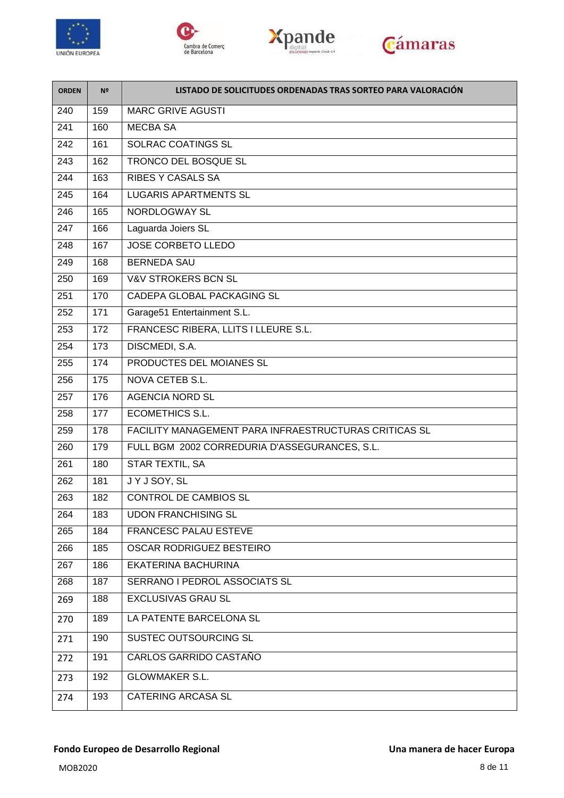







| <b>ORDEN</b> | Nº  | LISTADO DE SOLICITUDES ORDENADAS TRAS SORTEO PARA VALORACIÓN |
|--------------|-----|--------------------------------------------------------------|
| 240          | 159 | <b>MARC GRIVE AGUSTI</b>                                     |
| 241          | 160 | <b>MECBA SA</b>                                              |
| 242          | 161 | SOLRAC COATINGS SL                                           |
| 243          | 162 | TRONCO DEL BOSQUE SL                                         |
| 244          | 163 | <b>RIBES Y CASALS SA</b>                                     |
| 245          | 164 | <b>LUGARIS APARTMENTS SL</b>                                 |
| 246          | 165 | NORDLOGWAY SL                                                |
| 247          | 166 | Laguarda Joiers SL                                           |
| 248          | 167 | <b>JOSE CORBETO LLEDO</b>                                    |
| 249          | 168 | <b>BERNEDA SAU</b>                                           |
| 250          | 169 | <b>V&amp;V STROKERS BCN SL</b>                               |
| 251          | 170 | CADEPA GLOBAL PACKAGING SL                                   |
| 252          | 171 | Garage51 Entertainment S.L.                                  |
| 253          | 172 | FRANCESC RIBERA, LLITS I LLEURE S.L.                         |
| 254          | 173 | DISCMEDI, S.A.                                               |
| 255          | 174 | PRODUCTES DEL MOIANES SL                                     |
| 256          | 175 | NOVA CETEB S.L.                                              |
| 257          | 176 | <b>AGENCIA NORD SL</b>                                       |
| 258          | 177 | <b>ECOMETHICS S.L.</b>                                       |
| 259          | 178 | FACILITY MANAGEMENT PARA INFRAESTRUCTURAS CRITICAS SL        |
| 260          | 179 | FULL BGM 2002 CORREDURIA D'ASSEGURANCES, S.L.                |
| 261          | 180 | STAR TEXTIL, SA                                              |
| 262          | 181 | JYJSOY, SL                                                   |
| 263          | 182 | <b>CONTROL DE CAMBIOS SL</b>                                 |
| 264          | 183 | <b>UDON FRANCHISING SL</b>                                   |
| 265          | 184 | FRANCESC PALAU ESTEVE                                        |
| 266          | 185 | OSCAR RODRIGUEZ BESTEIRO                                     |
| 267          | 186 | EKATERINA BACHURINA                                          |
| 268          | 187 | SERRANO I PEDROL ASSOCIATS SL                                |
| 269          | 188 | <b>EXCLUSIVAS GRAU SL</b>                                    |
| 270          | 189 | LA PATENTE BARCELONA SL                                      |
| 271          | 190 | SUSTEC OUTSOURCING SL                                        |
| 272          | 191 | CARLOS GARRIDO CASTAÑO                                       |
| 273          | 192 | <b>GLOWMAKER S.L.</b>                                        |
| 274          | 193 | <b>CATERING ARCASA SL</b>                                    |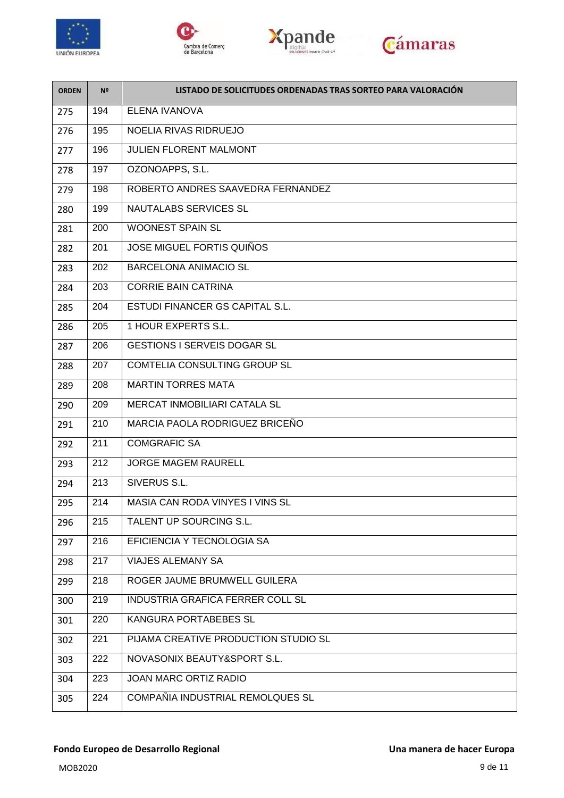

 $\overline{a}$ 







| <b>ORDEN</b> | Nº  | LISTADO DE SOLICITUDES ORDENADAS TRAS SORTEO PARA VALORACIÓN |
|--------------|-----|--------------------------------------------------------------|
| 275          | 194 | ELENA IVANOVA                                                |
| 276          | 195 | NOELIA RIVAS RIDRUEJO                                        |
| 277          | 196 | <b>JULIEN FLORENT MALMONT</b>                                |
| 278          | 197 | OZONOAPPS, S.L.                                              |
| 279          | 198 | ROBERTO ANDRES SAAVEDRA FERNANDEZ                            |
| 280          | 199 | NAUTALABS SERVICES SL                                        |
| 281          | 200 | <b>WOONEST SPAIN SL</b>                                      |
| 282          | 201 | <b>JOSE MIGUEL FORTIS QUIÑOS</b>                             |
| 283          | 202 | <b>BARCELONA ANIMACIO SL</b>                                 |
| 284          | 203 | <b>CORRIE BAIN CATRINA</b>                                   |
| 285          | 204 | ESTUDI FINANCER GS CAPITAL S.L.                              |
| 286          | 205 | 1 HOUR EXPERTS S.L.                                          |
| 287          | 206 | <b>GESTIONS I SERVEIS DOGAR SL</b>                           |
| 288          | 207 | COMTELIA CONSULTING GROUP SL                                 |
| 289          | 208 | <b>MARTIN TORRES MATA</b>                                    |
| 290          | 209 | MERCAT INMOBILIARI CATALA SL                                 |
| 291          | 210 | MARCIA PAOLA RODRIGUEZ BRICEÑO                               |
| 292          | 211 | <b>COMGRAFIC SA</b>                                          |
| 293          | 212 | <b>JORGE MAGEM RAURELL</b>                                   |
| 294          | 213 | SIVERUS S.L.                                                 |
| 295          | 214 | MASIA CAN RODA VINYES I VINS SL                              |
| 296          | 215 | TALENT UP SOURCING S.L.                                      |
| 297          | 216 | EFICIENCIA Y TECNOLOGIA SA                                   |
| 298          | 217 | <b>VIAJES ALEMANY SA</b>                                     |
| 299          | 218 | ROGER JAUME BRUMWELL GUILERA                                 |
| 300          | 219 | INDUSTRIA GRAFICA FERRER COLL SL                             |
| 301          | 220 | KANGURA PORTABEBES SL                                        |
| 302          | 221 | PIJAMA CREATIVE PRODUCTION STUDIO SL                         |
| 303          | 222 | NOVASONIX BEAUTY&SPORT S.L.                                  |
| 304          | 223 | JOAN MARC ORTIZ RADIO                                        |
| 305          | 224 | COMPAÑIA INDUSTRIAL REMOLQUES SL                             |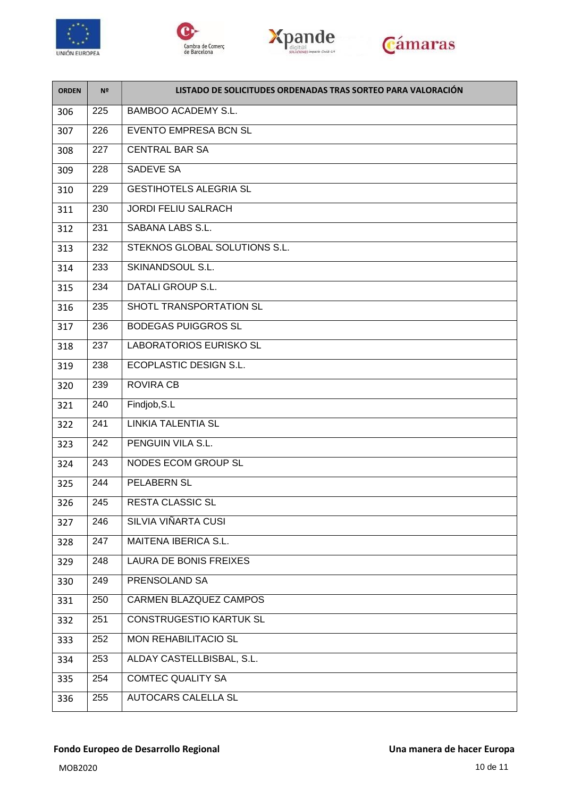







| <b>ORDEN</b> | Nº  | LISTADO DE SOLICITUDES ORDENADAS TRAS SORTEO PARA VALORACIÓN |
|--------------|-----|--------------------------------------------------------------|
| 306          | 225 | <b>BAMBOO ACADEMY S.L.</b>                                   |
| 307          | 226 | <b>EVENTO EMPRESA BCN SL</b>                                 |
| 308          | 227 | <b>CENTRAL BAR SA</b>                                        |
| 309          | 228 | <b>SADEVE SA</b>                                             |
| 310          | 229 | <b>GESTIHOTELS ALEGRIA SL</b>                                |
| 311          | 230 | <b>JORDI FELIU SALRACH</b>                                   |
| 312          | 231 | SABANA LABS S.L.                                             |
| 313          | 232 | STEKNOS GLOBAL SOLUTIONS S.L.                                |
| 314          | 233 | SKINANDSOUL S.L.                                             |
| 315          | 234 | DATALI GROUP S.L.                                            |
| 316          | 235 | SHOTL TRANSPORTATION SL                                      |
| 317          | 236 | <b>BODEGAS PUIGGROS SL</b>                                   |
| 318          | 237 | <b>LABORATORIOS EURISKO SL</b>                               |
| 319          | 238 | ECOPLASTIC DESIGN S.L.                                       |
| 320          | 239 | <b>ROVIRA CB</b>                                             |
| 321          | 240 | Findjob, S.L                                                 |
| 322          | 241 | <b>LINKIA TALENTIA SL</b>                                    |
| 323          | 242 | PENGUIN VILA S.L.                                            |
| 324          | 243 | <b>NODES ECOM GROUP SL</b>                                   |
| 325          | 244 | PELABERN SL                                                  |
| 326          | 245 | <b>RESTA CLASSIC SL</b>                                      |
| 327          | 246 | SILVIA VIÑARTA CUSI                                          |
| 328          | 247 | MAITENA IBERICA S.L.                                         |
| 329          | 248 | <b>LAURA DE BONIS FREIXES</b>                                |
| 330          | 249 | PRENSOLAND SA                                                |
| 331          | 250 | CARMEN BLAZQUEZ CAMPOS                                       |
| 332          | 251 | <b>CONSTRUGESTIO KARTUK SL</b>                               |
| 333          | 252 | <b>MON REHABILITACIO SL</b>                                  |
| 334          | 253 | ALDAY CASTELLBISBAL, S.L.                                    |
| 335          | 254 | <b>COMTEC QUALITY SA</b>                                     |
| 336          | 255 | <b>AUTOCARS CALELLA SL</b>                                   |
|              |     |                                                              |